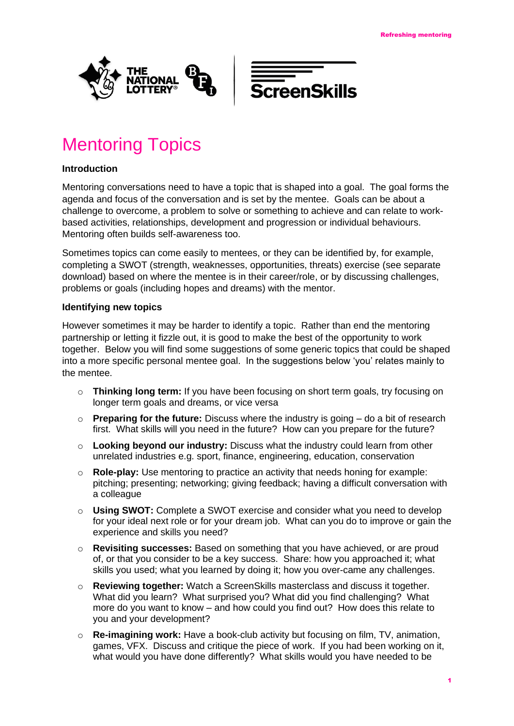



## Mentoring Topics

## **Introduction**

Mentoring conversations need to have a topic that is shaped into a goal. The goal forms the agenda and focus of the conversation and is set by the mentee. Goals can be about a challenge to overcome, a problem to solve or something to achieve and can relate to workbased activities, relationships, development and progression or individual behaviours. Mentoring often builds self-awareness too.

Sometimes topics can come easily to mentees, or they can be identified by, for example, completing a SWOT (strength, weaknesses, opportunities, threats) exercise (see separate download) based on where the mentee is in their career/role, or by discussing challenges, problems or goals (including hopes and dreams) with the mentor.

## **Identifying new topics**

However sometimes it may be harder to identify a topic. Rather than end the mentoring partnership or letting it fizzle out, it is good to make the best of the opportunity to work together. Below you will find some suggestions of some generic topics that could be shaped into a more specific personal mentee goal. In the suggestions below 'you' relates mainly to the mentee.

- o **Thinking long term:** If you have been focusing on short term goals, try focusing on longer term goals and dreams, or vice versa
- o **Preparing for the future:** Discuss where the industry is going do a bit of research first. What skills will you need in the future? How can you prepare for the future?
- o **Looking beyond our industry:** Discuss what the industry could learn from other unrelated industries e.g. sport, finance, engineering, education, conservation
- o **Role-play:** Use mentoring to practice an activity that needs honing for example: pitching; presenting; networking; giving feedback; having a difficult conversation with a colleague
- o **Using SWOT:** Complete a SWOT exercise and consider what you need to develop for your ideal next role or for your dream job. What can you do to improve or gain the experience and skills you need?
- o **Revisiting successes:** Based on something that you have achieved, or are proud of, or that you consider to be a key success. Share: how you approached it; what skills you used; what you learned by doing it; how you over-came any challenges.
- o **Reviewing together:** Watch a ScreenSkills masterclass and discuss it together. What did you learn? What surprised you? What did you find challenging? What more do you want to know – and how could you find out? How does this relate to you and your development?
- o **Re-imagining work:** Have a book-club activity but focusing on film, TV, animation, games, VFX. Discuss and critique the piece of work. If you had been working on it, what would you have done differently? What skills would you have needed to be